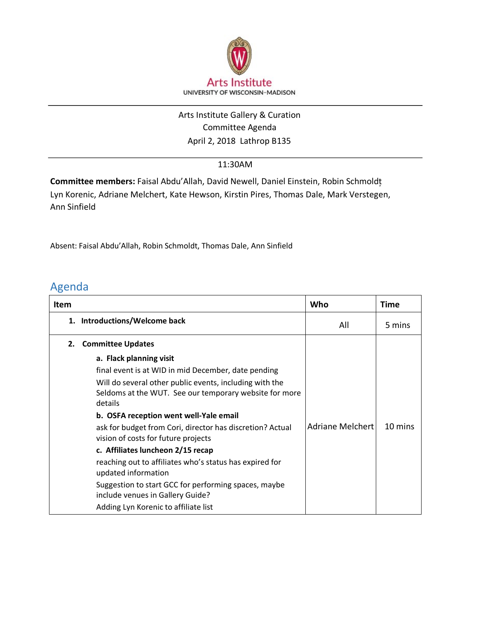

## April 2, 2018 Lathrop B135 Arts Institute Gallery & Curation Committee Agenda

## 11:30AM

**Committee members:** Faisal Abdu'Allah, David Newell, Daniel Einstein, Robin Schmoldt͕ Lyn Korenic, Adriane Melchert, Kate Hewson, Kirstin Pires, Thomas Dale, Mark Verstegen, Ann Sinfield

Absent: Faisal Abdu'Allah, Robin Schmoldt, Thomas Dale, Ann Sinfield

## Agenda

| Item |                                                                                                                                                                                                                                                                                                                                                                                                                                                                                                                                                                                                                         | Who              | <b>Time</b> |
|------|-------------------------------------------------------------------------------------------------------------------------------------------------------------------------------------------------------------------------------------------------------------------------------------------------------------------------------------------------------------------------------------------------------------------------------------------------------------------------------------------------------------------------------------------------------------------------------------------------------------------------|------------------|-------------|
|      | 1. Introductions/Welcome back                                                                                                                                                                                                                                                                                                                                                                                                                                                                                                                                                                                           | All              | 5 mins      |
| 2.   | <b>Committee Updates</b>                                                                                                                                                                                                                                                                                                                                                                                                                                                                                                                                                                                                |                  |             |
|      | a. Flack planning visit<br>final event is at WID in mid December, date pending<br>Will do several other public events, including with the<br>Seldoms at the WUT. See our temporary website for more<br>details<br>b. OSFA reception went well-Yale email<br>ask for budget from Cori, director has discretion? Actual<br>vision of costs for future projects<br>c. Affiliates luncheon 2/15 recap<br>reaching out to affiliates who's status has expired for<br>updated information<br>Suggestion to start GCC for performing spaces, maybe<br>include venues in Gallery Guide?<br>Adding Lyn Korenic to affiliate list | Adriane Melchert | 10 mins     |